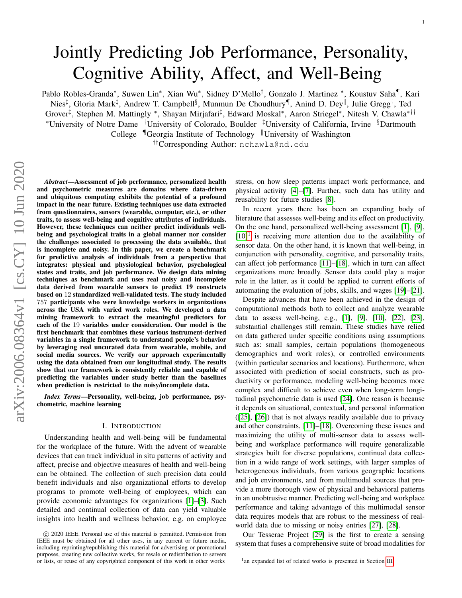# Jointly Predicting Job Performance, Personality, Cognitive Ability, Affect, and Well-Being

Pablo Robles-Granda\*, Suwen Lin\*, Xian Wu\*, Sidney D'Mello<sup>†</sup>, Gonzalo J. Martinez \*, Koustuv Saha¶, Kari

Nies<sup>‡</sup>, Gloria Mark<sup>‡</sup>, Andrew T. Campbell<sup>§</sup>, Munmun De Choudhury¶, Anind D. Dey<sup>||</sup>, Julie Gregg<sup>†</sup>, Ted Grover‡ , Stephen M. Mattingly <sup>∗</sup> , Shayan Mirjafari‡ , Edward Moskal<sup>∗</sup> , Aaron Striegel<sup>∗</sup> , Nitesh V. Chawla∗††

<sup>∗</sup>University of Notre Dame †University of Colorado, Boulder ‡University of California, Irvine §Dartmouth

College  $\P$ Georgia Institute of Technology  $\Vert$ University of Washington

††Corresponding Author: nchawla@nd.edu

*Abstract*—Assessment of job performance, personalized health and psychometric measures are domains where data-driven and ubiquitous computing exhibits the potential of a profound impact in the near future. Existing techniques use data extracted from questionnaires, sensors (wearable, computer, etc.), or other traits, to assess well-being and cognitive attributes of individuals. However, these techniques can neither predict individuals wellbeing and psychological traits in a global manner nor consider the challenges associated to processing the data available, that is incomplete and noisy. In this paper, we create a benchmark for predictive analysis of individuals from a perspective that integrates: physical and physiological behavior, psychological states and traits, and job performance. We design data mining techniques as benchmark and uses real noisy and incomplete data derived from wearable sensors to predict 19 constructs based on 12 standardized well-validated tests. The study included 757 participants who were knowledge workers in organizations across the USA with varied work roles. We developed a data mining framework to extract the meaningful predictors for each of the 19 variables under consideration. Our model is the first benchmark that combines these various instrument-derived variables in a single framework to understand people's behavior by leveraging real uncurated data from wearable, mobile, and social media sources. We verify our approach experimentally using the data obtained from our longitudinal study. The results show that our framework is consistently reliable and capable of predicting the variables under study better than the baselines when prediction is restricted to the noisy/incomplete data.

*Index Terms*—Personality, well-being, job performance, psychometric, machine learning

#### I. INTRODUCTION

Understanding health and well-being will be fundamental for the workplace of the future. With the advent of wearable devices that can track individual in situ patterns of activity and affect, precise and objective measures of health and well-being can be obtained. The collection of such precision data could benefit individuals and also organizational efforts to develop programs to promote well-being of employees, which can provide economic advantages for organizations [\[1\]](#page-11-0)–[\[3\]](#page-11-1). Such detailed and continual collection of data can yield valuable insights into health and wellness behavior, e.g. on employee stress, on how sleep patterns impact work performance, and physical activity [\[4\]](#page-11-2)–[\[7\]](#page-12-0). Further, such data has utility and reusability for future studies [\[8\]](#page-12-1).

In recent years there has been an expanding body of literature that assesses well-being and its effect on productivity. On the one hand, personalized well-being assessment [\[1\]](#page-11-0), [\[9\]](#page-12-2),  $[10]$ <sup>[1](#page-0-0)</sup> is receiving more attention due to the availability of sensor data. On the other hand, it is known that well-being, in conjunction with personality, cognitive, and personality traits, can affect job performance [\[11\]](#page-12-4)–[\[18\]](#page-12-5), which in turn can affect organizations more broadly. Sensor data could play a major role in the latter, as it could be applied to current efforts of automating the evaluation of jobs, skills, and wages [\[19\]](#page-12-6)–[\[21\]](#page-12-7).

Despite advances that have been achieved in the design of computational methods both to collect and analyze wearable data to assess well-being, e.g., [\[1\]](#page-11-0), [\[9\]](#page-12-2), [\[10\]](#page-12-3), [\[22\]](#page-12-8), [\[23\]](#page-12-9), substantial challenges still remain. These studies have relied on data gathered under specific conditions using assumptions such as: small samples, certain populations (homogeneous demographics and work roles), or controlled environments (within particular scenarios and locations). Furthermore, when associated with prediction of social constructs, such as productivity or performance, modeling well-being becomes more complex and difficult to achieve even when long-term longitudinal psychometric data is used [\[24\]](#page-12-10). One reason is because it depends on situational, contextual, and personal information ([\[25\]](#page-12-11), [\[26\]](#page-12-12)) that is not always readily available due to privacy and other constraints, [\[11\]](#page-12-4)–[\[18\]](#page-12-5). Overcoming these issues and maximizing the utility of multi-sensor data to assess wellbeing and workplace performance will require generalizable strategies built for diverse populations, continual data collection in a wide range of work settings, with larger samples of heterogeneous individuals, from various geographic locations and job environments, and from multimodal sources that provide a more thorough view of physical and behavioral patterns in an unobtrusive manner. Predicting well-being and workplace performance and taking advantage of this multimodal sensor data requires models that are robust to the messiness of realworld data due to missing or noisy entries [\[27\]](#page-12-13), [\[28\]](#page-12-14).

Our Tesserae Project [\[29\]](#page-12-15) is the first to create a sensing system that fuses a comprehensive suite of broad modalities for

c 2020 IEEE. Personal use of this material is permitted. Permission from IEEE must be obtained for all other uses, in any current or future media, including reprinting/republishing this material for advertising or promotional purposes, creating new collective works, for resale or redistribution to servers or lists, or reuse of any copyrighted component of this work in other works

<span id="page-0-0"></span><sup>&</sup>lt;sup>1</sup> an expanded list of related works is presented in Section [III](#page-2-0)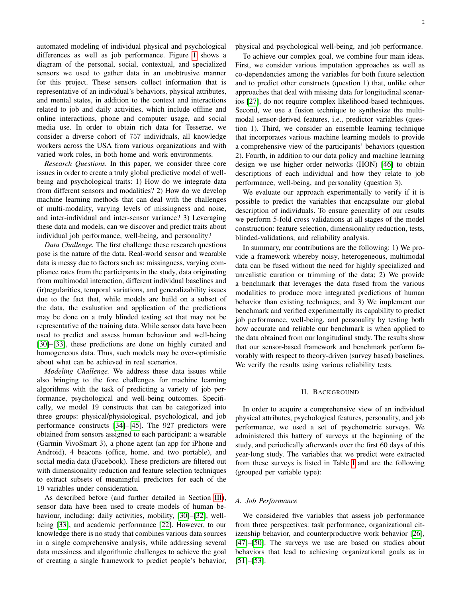automated modeling of individual physical and psychological differences as well as job performance. Figure [1](#page-6-0) shows a diagram of the personal, social, contextual, and specialized sensors we used to gather data in an unobtrusive manner for this project. These sensors collect information that is representative of an individual's behaviors, physical attributes, and mental states, in addition to the context and interactions related to job and daily activities, which include offline and online interactions, phone and computer usage, and social media use. In order to obtain rich data for Tesserae, we consider a diverse cohort of 757 individuals, all knowledge workers across the USA from various organizations and with varied work roles, in both home and work environments.

*Research Questions.* In this paper, we consider three core issues in order to create a truly global predictive model of wellbeing and psychological traits: 1) How do we integrate data from different sensors and modalities? 2) How do we develop machine learning methods that can deal with the challenges of multi-modality, varying levels of missingness and noise, and inter-individual and inter-sensor variance? 3) Leveraging these data and models, can we discover and predict traits about individual job performance, well-being, and personality?

*Data Challenge.* The first challenge these research questions pose is the nature of the data. Real-world sensor and wearable data is messy due to factors such as: missingness, varying compliance rates from the participants in the study, data originating from multimodal interaction, different individual baselines and (ir)regularities, temporal variations, and generalizability issues due to the fact that, while models are build on a subset of the data, the evaluation and application of the predictions may be done on a truly blinded testing set that may not be representative of the training data. While sensor data have been used to predict and assess human behaviour and well-being [\[30\]](#page-12-16)–[\[33\]](#page-12-17), these predictions are done on highly curated and homogeneous data. Thus, such models may be over-optimistic about what can be achieved in real scenarios.

*Modeling Challenge.* We address these data issues while also bringing to the fore challenges for machine learning algorithms with the task of predicting a variety of job performance, psychological and well-being outcomes. Specifically, we model 19 constructs that can be categorized into three groups: physical/physiological, psychological, and job performance constructs [\[34\]](#page-12-18)–[\[45\]](#page-12-19). The 927 predictors were obtained from sensors assigned to each participant: a wearable (Garmin VivoSmart 3), a phone agent (an app for iPhone and Android), 4 beacons (office, home, and two portable), and social media data (Facebook). These predictors are filtered out with dimensionality reduction and feature selection techniques to extract subsets of meaningful predictors for each of the 19 variables under consideration.

As described before (and further detailed in Section [III\)](#page-2-0), sensor data have been used to create models of human be-haviour, including: daily activities, mobility, [\[30\]](#page-12-16)–[\[32\]](#page-12-20), wellbeing [\[33\]](#page-12-17), and academic performance [\[22\]](#page-12-8). However, to our knowledge there is no study that combines various data sources in a single comprehensive analysis, while addressing several data messiness and algorithmic challenges to achieve the goal of creating a single framework to predict people's behavior, physical and psychological well-being, and job performance.

To achieve our complex goal, we combine four main ideas. First, we consider various imputation approaches as well as co-dependencies among the variables for both future selection and to predict other constructs (question 1) that, unlike other approaches that deal with missing data for longitudinal scenarios [\[27\]](#page-12-13), do not require complex likelihood-based techniques. Second, we use a fusion technique to synthesize the multimodal sensor-derived features, i.e., predictor variables (question 1). Third, we consider an ensemble learning technique that incorporates various machine learning models to provide a comprehensive view of the participants' behaviors (question 2). Fourth, in addition to our data policy and machine learning design we use higher order networks (HON) [\[46\]](#page-12-21) to obtain descriptions of each individual and how they relate to job performance, well-being, and personality (question 3).

We evaluate our approach experimentally to verify if it is possible to predict the variables that encapsulate our global description of individuals. To ensure generality of our results we perform 5-fold cross validations at all stages of the model construction: feature selection, dimensionality reduction, tests, blinded-validations, and reliability analysis.

In summary, our contributions are the following: 1) We provide a framework whereby noisy, heterogeneous, multimodal data can be fused without the need for highly specialized and unrealistic curation or trimming of the data; 2) We provide a benchmark that leverages the data fused from the various modalities to produce more integrated predictions of human behavior than existing techniques; and 3) We implement our benchmark and verified experimentally its capability to predict job performance, well-being, and personality by testing both how accurate and reliable our benchmark is when applied to the data obtained from our longitudinal study. The results show that our sensor-based framework and benchmark perform favorably with respect to theory-driven (survey based) baselines. We verify the results using various reliability tests.

#### II. BACKGROUND

In order to acquire a comprehensive view of an individual physical attributes, psychological features, personality, and job performance, we used a set of psychometric surveys. We administered this battery of surveys at the beginning of the study, and periodically afterwards over the first 60 days of this year-long study. The variables that we predict were extracted from these surveys is listed in Table [I](#page-2-1) and are the following (grouped per variable type):

#### *A. Job Performance*

We considered five variables that assess job performance from three perspectives: task performance, organizational citizenship behavior, and counterproductive work behavior [\[26\]](#page-12-12), [\[47\]](#page-12-22)–[\[50\]](#page-12-23). The surveys we use are based on studies about behaviors that lead to achieving organizational goals as in [\[51\]](#page-12-24)–[\[53\]](#page-12-25).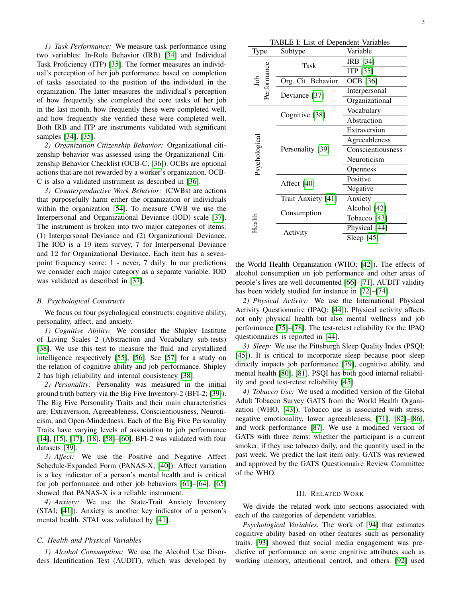*1) Task Performance:* We measure task performance using two variables: In-Role Behavior (IRB) [\[34\]](#page-12-18) and Individual Task Proficiency (ITP) [\[35\]](#page-12-26). The former measures an individual's perception of her job performance based on completion of tasks associated to the position of the individual in the organization. The latter measures the individual's perception of how frequently she completed the core tasks of her job in the last month, how frequently these were completed well, and how frequently she verified these were completed well. Both IRB and ITP are instruments validated with significant samples [\[34\]](#page-12-18), [\[35\]](#page-12-26).

*2) Organization Citizenship Behavior:* Organizational citizenship behavior was assessed using the Organizational Citizenship Behavior Checklist (OCB-C; [\[36\]](#page-12-27)). OCBs are optional actions that are not rewarded by a worker's organization. OCB-C is also a validated instrument as described in [\[36\]](#page-12-27).

*3) Counterproductive Work Behavior:* (CWBs) are actions that purposefully harm either the organization or individuals within the organization [\[54\]](#page-12-28). To measure CWB we use the Interpersonal and Organizational Deviance (IOD) scale [\[37\]](#page-12-29). The instrument is broken into two major categories of items: (1) Interpersonal Deviance and (2) Organizational Deviance. The IOD is a 19 item survey, 7 for Interpersonal Deviance and 12 for Organizational Deviance. Each item has a sevenpoint frequency score: 1 - never, 7 daily. In our predictions we consider each major category as a separate variable. IOD was validated as described in [\[37\]](#page-12-29).

#### *B. Psychological Constructs*

We focus on four psychological constructs: cognitive ability, personality, affect, and anxiety.

*1) Cognitive Ability:* We consider the Shipley Institute of Living Scales 2 (Abstraction and Vocabulary sub-tests) [\[38\]](#page-12-30). We use this test to measure the fluid and crystallized intelligence respectively [\[55\]](#page-12-31), [\[56\]](#page-12-32). See [\[57\]](#page-12-33) for a study on the relation of cognitive ability and job performance. Shipley 2 has high reliability and internal consistency [\[38\]](#page-12-30).

*2) Personality:* Personality was measured in the initial ground truth battery via the Big Five Inventory-2 (BFI-2; [\[39\]](#page-12-34)). The Big Five Personality Traits and their main characteristics are: Extraversion, Agreeableness, Conscientiousness, Neuroticism, and Open-Mindedness. Each of the Big Five Personality Traits have varying levels of association to job performance [\[14\]](#page-12-35), [\[15\]](#page-12-36), [\[17\]](#page-12-37), [\[18\]](#page-12-5), [\[58\]](#page-13-0)–[\[60\]](#page-13-1). BFI-2 was validated with four datasets [\[39\]](#page-12-34).

*3) Affect:* We use the Positive and Negative Affect Schedule-Expanded Form (PANAS-X; [\[40\]](#page-12-38)). Affect variation is a key indicator of a person's mental health and is critical for job performance and other job behaviors [\[61\]](#page-13-2)–[\[64\]](#page-13-3). [\[65\]](#page-13-4) showed that PANAS-X is a reliable instrument.

*4) Anxiety:* We use the State-Trait Anxiety Inventory (STAI; [\[41\]](#page-12-39)). Anxiety is another key indicator of a person's mental health. STAI was validated by [\[41\]](#page-12-39).

# *C. Health and Physical Variables*

*1) Alcohol Consumption:* We use the Alcohol Use Disorders Identification Test (AUDIT), which was developed by

<span id="page-2-1"></span>

| TABLE I: List of Dependent Variables |                    |                   |  |  |  |  |  |  |  |  |
|--------------------------------------|--------------------|-------------------|--|--|--|--|--|--|--|--|
| Type                                 | Subtype            | Variable          |  |  |  |  |  |  |  |  |
|                                      | Task               | IRB [34]          |  |  |  |  |  |  |  |  |
|                                      |                    | ITP [35]          |  |  |  |  |  |  |  |  |
| dol                                  | Org. Cit. Behavior | OCB [36]          |  |  |  |  |  |  |  |  |
| Performance                          | Deviance [37]      | Interpersonal     |  |  |  |  |  |  |  |  |
|                                      |                    | Organizational    |  |  |  |  |  |  |  |  |
|                                      | Cognitive [38]     | Vocabulary        |  |  |  |  |  |  |  |  |
|                                      |                    | Abstraction       |  |  |  |  |  |  |  |  |
|                                      |                    | Extraversion      |  |  |  |  |  |  |  |  |
|                                      |                    | Agreeableness     |  |  |  |  |  |  |  |  |
|                                      | Personality [39]   | Conscientiousness |  |  |  |  |  |  |  |  |
| Psychologica                         |                    | Neuroticism       |  |  |  |  |  |  |  |  |
|                                      |                    | Openness          |  |  |  |  |  |  |  |  |
|                                      | Affect [40]        | Positive          |  |  |  |  |  |  |  |  |
|                                      |                    | Negative          |  |  |  |  |  |  |  |  |
|                                      | Trait Anxiety [41] | Anxiety           |  |  |  |  |  |  |  |  |
|                                      |                    | Alcohol [42]      |  |  |  |  |  |  |  |  |
|                                      | Consumption        | Tobacco [43]      |  |  |  |  |  |  |  |  |
| Health                               |                    | Physical [44]     |  |  |  |  |  |  |  |  |
|                                      | Activity           | Sleep [45]        |  |  |  |  |  |  |  |  |

the World Health Organization (WHO; [\[42\]](#page-12-40)). The effects of alcohol consumption on job performance and other areas of people's lives are well documented [\[66\]](#page-13-5)–[\[71\]](#page-13-6). AUDIT validity has been widely studied for instance in [\[72\]](#page-13-7)–[\[74\]](#page-13-8).

*2) Physical Activity:* We use the International Physical Activity Questionnaire (IPAQ; [\[44\]](#page-12-42)). Physical activity affects not only physical health but also mental wellness and job performance [\[75\]](#page-13-9)–[\[78\]](#page-13-10). The test-retest reliability for the IPAQ questionnaires is reported in [\[44\]](#page-12-42).

*3) Sleep:* We use the Pittsburgh Sleep Quality Index (PSQI; [\[45\]](#page-12-19)). It is critical to incorporate sleep because poor sleep directly impacts job performance [\[79\]](#page-13-11), cognitive ability, and mental health [\[80\]](#page-13-12), [\[81\]](#page-13-13). PSQI has both good internal reliability and good test-retest reliability [\[45\]](#page-12-19).

*4) Tobacco Use:* We used a modified version of the Global Adult Tobacco Survey GATS from the World Health Organization (WHO, [\[43\]](#page-12-41)). Tobacco use is associated with stress, negative emotionality, lower agreeableness, [\[71\]](#page-13-6), [\[82\]](#page-13-14)–[\[86\]](#page-13-15), and work performance [\[87\]](#page-13-16). We use a modified version of GATS with three items: whether the participant is a current smoker, if they use tobacco daily, and the quantity used in the past week. We predict the last item only. GATS was reviewed and approved by the GATS Questionnaire Review Committee of the WHO.

#### III. RELATED WORK

<span id="page-2-0"></span>We divide the related work into sections associated with each of the categories of dependent variables.

*Psychological Variables.* The work of [\[94\]](#page-13-17) that estimates cognitive ability based on other features such as personality traits. [\[93\]](#page-13-18) showed that social media engagement was predictive of performance on some cognitive attributes such as working memory, attentional control, and others. [\[92\]](#page-13-19) used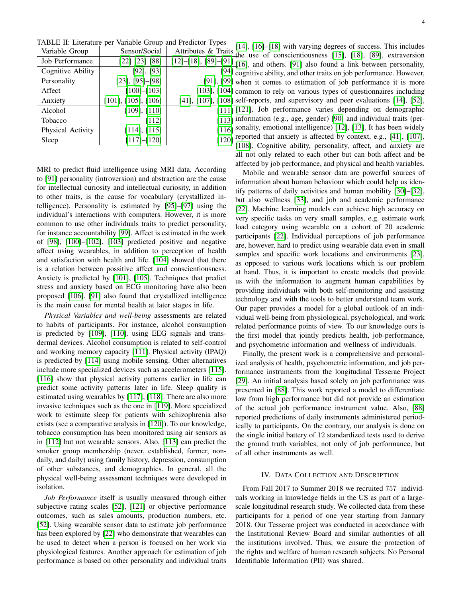| TABLE II: Literature per Variable Group and Predictor Types |                             |                               |  |  |  |  |  |  |  |  |
|-------------------------------------------------------------|-----------------------------|-------------------------------|--|--|--|--|--|--|--|--|
| Variable Group                                              | Sensor/Social               | Attributes & Traits           |  |  |  |  |  |  |  |  |
| Job Performance                                             | [22] [23] [88]              | $[12] - [18]$ , $[89] - [91]$ |  |  |  |  |  |  |  |  |
| Cognitive Ability                                           | $[92]$ , $[93]$             | [94]                          |  |  |  |  |  |  |  |  |
| Personality                                                 | $[23]$ , $[95]$ - $[98]$    | $[91]$ , $[99]$               |  |  |  |  |  |  |  |  |
| Affect                                                      | $[100] - [103]$             | $[103]$ , $[104]$             |  |  |  |  |  |  |  |  |
| Anxiety                                                     | $[101]$ , $[105]$ , $[106]$ | $[41]$ , $[107]$ , $[108]$    |  |  |  |  |  |  |  |  |
| Alcohol                                                     | $[109]$ , $[110]$           | [111]                         |  |  |  |  |  |  |  |  |
| Tobacco                                                     | [112]                       | [113]                         |  |  |  |  |  |  |  |  |
| Physical Activity                                           | [114], [115]                | [116]                         |  |  |  |  |  |  |  |  |
| Sleep                                                       | [117]–[120]                 | $[120]$                       |  |  |  |  |  |  |  |  |

MRI to predict fluid intelligence using MRI data. According to [\[91\]](#page-13-22) personality (introversion) and abstraction are the cause for intellectual curiosity and intellectual curiosity, in addition to other traits, is the cause for vocabulary (crystallized intelligence). Personality is estimated by [\[95\]](#page-13-23)–[\[97\]](#page-13-28) using the individual's interactions with computers. However, it is more common to use other individuals traits to predict personality, for instance accountability [\[99\]](#page-13-25). Affect is estimated in the work of [\[98\]](#page-13-24), [\[100\]](#page-13-26)–[\[102\]](#page-14-16). [\[103\]](#page-14-0) predicted positive and negative affect using wearables, in addition to perception of health and satisfaction with health and life. [\[104\]](#page-14-1) showed that there is a relation between possitive affect and conscientiousness. Anxiety is predicted by [\[101\]](#page-13-27), [\[105\]](#page-14-2). Techniques that predict stress and anxiety based on ECG monitoring have also been proposed [\[106\]](#page-14-3). [\[91\]](#page-13-22) also found that crystallized intelligence is the main cause for mental health at later stages in life.

*Physical Variables and well-being* assessments are related to habits of participants. For instance, alcohol consumption is predicted by [\[109\]](#page-14-6), [\[110\]](#page-14-7). using EEG signals and transdermal devices. Alcohol consumption is related to self-control and working memory capacity [\[111\]](#page-14-8). Physical activity (IPAQ) is predicted by [\[114\]](#page-14-11) using mobile sensing. Other alternatives include more specialized devices such as accelerometers [\[115\]](#page-14-12). [\[116\]](#page-14-13) show that physical activity patterns earlier in life can predict some activity patterns later in life. Sleep quality is estimated using wearables by [\[117\]](#page-14-14), [\[118\]](#page-14-17). There are also more invasive techniques such as the one in [\[119\]](#page-14-18). More specialized work to estimate sleep for patients with schizophrenia also exists (see a comparative analysis in [\[120\]](#page-14-15)). To our knowledge, tobacco consumption has been monitored using air sensors as in [\[112\]](#page-14-9) but not wearable sensors. Also, [\[113\]](#page-14-10) can predict the smoker group membership (never, established, former, nondaily, and daily) using family history, depression, consumption of other substances, and demographics. In general, all the physical well-being assessment techniques were developed in isolation.

*Job Performance* itself is usually measured through either subjective rating scales [\[52\]](#page-12-44), [\[121\]](#page-14-19) or objective performance outcomes, such as sales amounts, production numbers, etc. [\[52\]](#page-12-44). Using wearable sensor data to estimate job performance has been explored by [\[22\]](#page-12-8) who demonstrate that wearables can be used to detect when a person is focused on her work via physiological features. Another approach for estimation of job performance is based on other personality and individual traits

[\[14\]](#page-12-35), [\[16\]](#page-12-45)–[\[18\]](#page-12-5) with varying degrees of success. This includes the use of conscientiousness [\[15\]](#page-12-36), [\[18\]](#page-12-5), [\[89\]](#page-13-21), extraversion  $\frac{1}{2}$ [\[16\]](#page-12-45), and others. [\[91\]](#page-13-22) also found a link between personality, cognitive ability, and other traits on job performance. However, when it comes to estimation of job performance it is more common to rely on various types of questionnaires including self-reports, and supervisory and peer evaluations [\[14\]](#page-12-35), [\[52\]](#page-12-44),  $\overline{1121}$ . Job performance varies depending on demographic information (e.g., age, gender) [\[90\]](#page-13-29) and individual traits (personality, emotional intelligence) [\[12\]](#page-12-43), [\[13\]](#page-12-46). It has been widely [120] reported that anxiety is affected by context, e.g., [\[41\]](#page-12-39), [\[107\]](#page-14-4), [\[108\]](#page-14-5). Cognitive ability, personality, affect, and anxiety are all not only related to each other but can both affect and be affected by job performance, and physical and health variables.

Mobile and wearable sensor data are powerful sources of information about human behaviour which could help us identify patterns of daily activities and human mobility [\[30\]](#page-12-16)–[\[32\]](#page-12-20), but also wellness [\[33\]](#page-12-17), and job and academic performance [\[22\]](#page-12-8). Machine learning models can achieve high accuracy on very specific tasks on very small samples, e.g. estimate work load category using wearable on a cohort of 20 academic participants [\[22\]](#page-12-8). Individual perceptions of job performance are, however, hard to predict using wearable data even in small samples and specific work locations and environments [\[23\]](#page-12-9), as opposed to various work locations which is our problem at hand. Thus, it is important to create models that provide us with the information to augment human capabilities by providing individuals with both self-monitoring and assisting technology and with the tools to better understand team work. Our paper provides a model for a global outlook of an individual well-being from physiological, psychological, and work related performance points of view. To our knowledge ours is the first model that jointly predicts health, job-performance, and psychometric information and wellness of individuals.

Finally, the present work is a comprehensive and personalized analysis of health, psychometric information, and job performance instruments from the longitudinal Tesserae Project [\[29\]](#page-12-15). An initial analysis based solely on job performance was presented in [\[88\]](#page-13-20). This work reported a model to differentiate low from high performance but did not provide an estimation of the actual job performance instrument value. Also, [\[88\]](#page-13-20) reported predictions of daily instruments administered periodically to participants. On the contrary, our analysis is done on the single initial battery of 12 standardized tests used to derive the ground truth variables, not only of job performance, but of all other instruments as well.

## IV. DATA COLLECTION AND DESCRIPTION

From Fall 2017 to Summer 2018 we recruited 757 individuals working in knowledge fields in the US as part of a largescale longitudinal research study. We collected data from these participants for a period of one year starting from January 2018. Our Tesserae project was conducted in accordance with the Institutional Review Board and similar authorities of all the institutions involved. Thus, we ensure the protection of the rights and welfare of human research subjects. No Personal Identifiable Information (PII) was shared.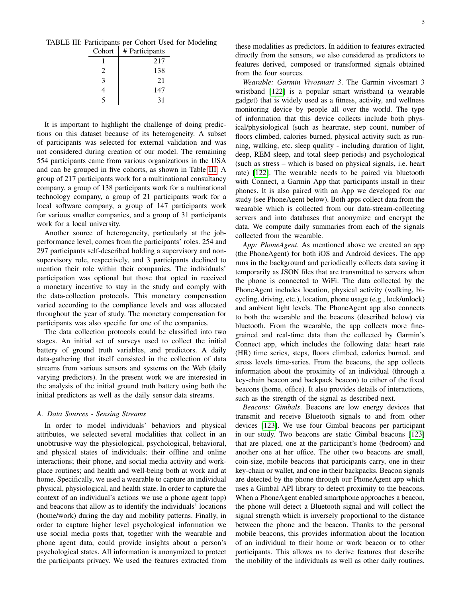<span id="page-4-0"></span>

| TABLE III: Participants per Cohort Used for Modeling |
|------------------------------------------------------|
| $Cohort \perp #$ Participants                        |

| Cohort                      | # Participants |
|-----------------------------|----------------|
|                             | 217            |
| $\mathcal{D}_{\mathcal{L}}$ | 138            |
| 3                           | 21             |
| 4                           | 147            |
|                             | 31             |

It is important to highlight the challenge of doing predictions on this dataset because of its heterogeneity. A subset of participants was selected for external validation and was not considered during creation of our model. The remaining 554 participants came from various organizations in the USA and can be grouped in five cohorts, as shown in Table [III.](#page-4-0) A group of 217 participants work for a multinational consultancy company, a group of 138 participants work for a multinational technology company, a group of 21 participants work for a local software company, a group of 147 participants work for various smaller companies, and a group of 31 participants work for a local university.

Another source of heterogeneity, particularly at the jobperformance level, comes from the participants' roles. 254 and 297 participants self-described holding a supervisory and nonsupervisory role, respectively, and 3 participants declined to mention their role within their companies. The individuals' participation was optional but those that opted in received a monetary incentive to stay in the study and comply with the data-collection protocols. This monetary compensation varied according to the compliance levels and was allocated throughout the year of study. The monetary compensation for participants was also specific for one of the companies.

The data collection protocols could be classified into two stages. An initial set of surveys used to collect the initial battery of ground truth variables, and predictors. A daily data-gathering that itself consisted in the collection of data streams from various sensors and systems on the Web (daily varying predictors). In the present work we are interested in the analysis of the initial ground truth battery using both the initial predictors as well as the daily sensor data streams.

#### <span id="page-4-1"></span>*A. Data Sources - Sensing Streams*

In order to model individuals' behaviors and physical attributes, we selected several modalities that collect in an unobtrusive way the physiological, psychological, behavioral, and physical states of individuals; their offline and online interactions; their phone, and social media activity and workplace routines; and health and well-being both at work and at home. Specifically, we used a wearable to capture an individual physical, physiological, and health state. In order to capture the context of an individual's actions we use a phone agent (app) and beacons that allow as to identify the individuals' locations (home/work) during the day and mobility patterns. Finally, in order to capture higher level psychological information we use social media posts that, together with the wearable and phone agent data, could provide insights about a person's psychological states. All information is anonymized to protect the participants privacy. We used the features extracted from these modalities as predictors. In addition to features extracted directly from the sensors, we also considered as predictors to features derived, composed or transformed signals obtained from the four sources.

*Wearable: Garmin Vivosmart 3*. The Garmin vivosmart 3 wristband [\[122\]](#page-14-20) is a popular smart wristband (a wearable gadget) that is widely used as a fitness, activity, and wellness monitoring device by people all over the world. The type of information that this device collects include both physical/physiological (such as heartrate, step count, number of floors climbed, calories burned, physical activity such as running, walking, etc. sleep quality - including duration of light, deep, REM sleep, and total sleep periods) and psychological (such as stress – which is based on physical signals, i.e. heart rate) [\[122\]](#page-14-20). The wearable needs to be paired via bluetooth with Connect, a Garmin App that participants install in their phones. It is also paired with an App we developed for our study (see PhoneAgent below). Both apps collect data from the wearable which is collected from our data-stream-collecting servers and into databases that anonymize and encrypt the data. We compute daily summaries from each of the signals collected from the wearable.

*App: PhoneAgent*. As mentioned above we created an app (the PhoneAgent) for both iOS and Android devices. The app runs in the background and periodically collects data saving it temporarily as JSON files that are transmitted to servers when the phone is connected to WiFi. The data collected by the PhoneAgent includes location, physical activity (walking, bicycling, driving, etc.), location, phone usage (e.g., lock/unlock) and ambient light levels. The PhoneAgent app also connects to both the wearable and the beacons (described below) via bluetooth. From the wearable, the app collects more finegrained and real-time data than the collected by Garmin's Connect app, which includes the following data: heart rate (HR) time series, steps, floors climbed, calories burned, and stress levels time-series. From the beacons, the app collects information about the proximity of an individual (through a key-chain beacon and backpack beacon) to either of the fixed beacons (home, office). It also provides details of interactions, such as the strength of the signal as described next.

*Beacons: Gimbals*. Beacons are low energy devices that transmit and receive Bluetooth signals to and from other devices [\[123\]](#page-14-21). We use four Gimbal beacons per participant in our study. Two beacons are static Gimbal beacons [\[123\]](#page-14-21) that are placed, one at the participant's home (bedroom) and another one at her office. The other two beacons are small, coin-size, mobile beacons that participants carry, one in their key-chain or wallet, and one in their backpacks. Beacon signals are detected by the phone through our PhoneAgent app which uses a Gimbal API library to detect proximity to the beacons. When a PhoneAgent enabled smartphone approaches a beacon, the phone will detect a Bluetooth signal and will collect the signal strength which is inversely proportional to the distance between the phone and the beacon. Thanks to the personal mobile beacons, this provides information about the location of an individual to their home or work beacon or to other participants. This allows us to derive features that describe the mobility of the individuals as well as other daily routines.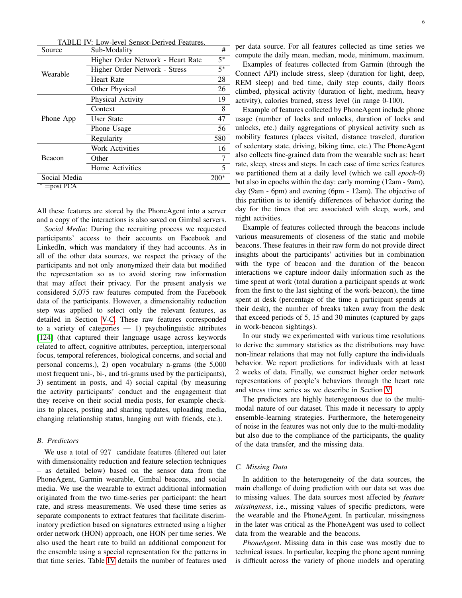<span id="page-5-0"></span>

|                            | V: Low-level Sensor-Derived Features. |        |
|----------------------------|---------------------------------------|--------|
| Source                     | Sub-Modality                          | #      |
|                            | Higher Order Network - Heart Rate     | $5*$   |
| Wearable                   | Higher Order Network - Stress         | $5^*$  |
|                            | Heart Rate                            | 28     |
|                            | Other Physical                        | 26     |
| Phone App                  | Physical Activity                     | 19     |
|                            | Context                               | 8      |
|                            | User State                            | 47     |
|                            | Phone Usage                           | 56     |
|                            | Regularity                            | 580    |
|                            | <b>Work Activities</b>                | 16     |
| Beacon                     | Other                                 |        |
|                            | Home Activities                       | 5      |
| Social Media               |                                       | $200*$ |
| $=$ post PC $\overline{A}$ |                                       |        |

All these features are stored by the PhoneAgent into a server and a copy of the interactions is also saved on Gimbal servers.

*Social Media*: During the recruiting process we requested participants' access to their accounts on Facebook and LinkedIn, which was mandatory if they had accounts. As in all of the other data sources, we respect the privacy of the participants and not only anonymized their data but modified the representation so as to avoid storing raw information that may affect their privacy. For the present analysis we considered 5,075 raw features computed from the Facebook data of the participants. However, a dimensionality reduction step was applied to select only the relevant features, as detailed in Section [V-C.](#page-7-0) These raw features corresponded to a variety of categories  $-1$ ) psycholinguistic attributes [\[124\]](#page-14-22) (that captured their language usage across keywords related to affect, cognitive attributes, perception, interpersonal focus, temporal references, biological concerns, and social and personal concerns.), 2) open vocabulary n-grams (the 5,000 most frequent uni-, bi-, and tri-grams used by the participants), 3) sentiment in posts, and 4) social capital (by measuring the activity participants' conduct and the engagement that they receive on their social media posts, for example checkins to places, posting and sharing updates, uploading media, changing relationship status, hanging out with friends, etc.).

# *B. Predictors*

We use a total of 927 candidate features (filtered out later with dimensionality reduction and feature selection techniques – as detailed below) based on the sensor data from the PhoneAgent, Garmin wearable, Gimbal beacons, and social media. We use the wearable to extract additional information originated from the two time-series per participant: the heart rate, and stress measurements. We used these time series as separate components to extract features that facilitate discriminatory prediction based on signatures extracted using a higher order network (HON) approach, one HON per time series. We also used the heart rate to build an additional component for the ensemble using a special representation for the patterns in that time series. Table [IV](#page-5-0) details the number of features used per data source. For all features collected as time series we compute the daily mean, median, mode, minimum, maximum.

Examples of features collected from Garmin (through the Connect API) include stress, sleep (duration for light, deep, REM sleep) and bed time, daily step counts, daily floors climbed, physical activity (duration of light, medium, heavy activity), calories burned, stress level (in range 0-100).

Example of features collected by PhoneAgent include phone usage (number of locks and unlocks, duration of locks and unlocks, etc.) daily aggregations of physical activity such as mobility features (places visited, distance traveled, duration of sedentary state, driving, biking time, etc.) The PhoneAgent also collects fine-grained data from the wearable such as: heart rate, sleep, stress and steps. In each case of time series features we partitioned them at a daily level (which we call *epoch-0*) but also in epochs within the day: early morning (12am - 9am), day (9am - 6pm) and evening (6pm - 12am). The objective of this partition is to identify differences of behavior during the day for the times that are associated with sleep, work, and night activities.

Example of features collected through the beacons include various measurements of closeness of the static and mobile beacons. These features in their raw form do not provide direct insights about the participants' activities but in combination with the type of beacon and the duration of the beacon interactions we capture indoor daily information such as the time spent at work (total duration a participant spends at work from the first to the last sighting of the work-beacon), the time spent at desk (percentage of the time a participant spends at their desk), the number of breaks taken away from the desk that exceed periods of 5, 15 and 30 minutes (captured by gaps in work-beacon sightings).

In our study we experimented with various time resolutions to derive the summary statistics as the distributions may have non-linear relations that may not fully capture the individuals behavior. We report predictions for individuals with at least 2 weeks of data. Finally, we construct higher order network representations of people's behaviors through the heart rate and stress time series as we describe in Section [V.](#page-6-1)

The predictors are highly heterogeneous due to the multimodal nature of our dataset. This made it necessary to apply ensemble-learning strategies. Furthermore, the heterogeneity of noise in the features was not only due to the multi-modality but also due to the compliance of the participants, the quality of the data transfer, and the missing data.

# *C. Missing Data*

In addition to the heterogeneity of the data sources, the main challenge of doing prediction with our data set was due to missing values. The data sources most affected by *feature missingness*, i.e., missing values of specific predictors, were the wearable and the PhoneAgent. In particular, missingness in the later was critical as the PhoneAgent was used to collect data from the wearable and the beacons.

*PhoneAgent*. Missing data in this case was mostly due to technical issues. In particular, keeping the phone agent running is difficult across the variety of phone models and operating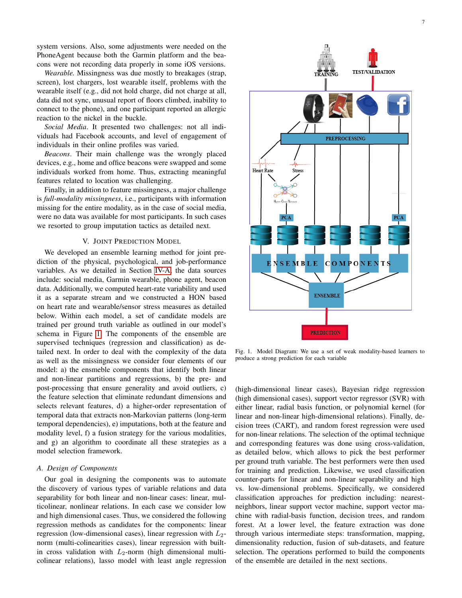system versions. Also, some adjustments were needed on the PhoneAgent because both the Garmin platform and the beacons were not recording data properly in some iOS versions.

*Wearable.* Missingness was due mostly to breakages (strap, screen), lost chargers, lost wearable itself, problems with the wearable itself (e.g., did not hold charge, did not charge at all, data did not sync, unusual report of floors climbed, inability to connect to the phone), and one participant reported an allergic reaction to the nickel in the buckle.

*Social Media*. It presented two challenges: not all individuals had Facebook accounts, and level of engagement of individuals in their online profiles was varied.

*Beacons*. Their main challenge was the wrongly placed devices, e.g., home and office beacons were swapped and some individuals worked from home. Thus, extracting meaningful features related to location was challenging.

Finally, in addition to feature missingness, a major challenge is *full-modality missingness*, i.e., participants with information missing for the entire modality, as in the case of social media, were no data was available for most participants. In such cases we resorted to group imputation tactics as detailed next.

# V. JOINT PREDICTION MODEL

<span id="page-6-1"></span>We developed an ensemble learning method for joint prediction of the physical, psychological, and job-performance variables. As we detailed in Section [IV-A,](#page-4-1) the data sources include: social media, Garmin wearable, phone agent, beacon data. Additionally, we computed heart-rate variability and used it as a separate stream and we constructed a HON based on heart rate and wearable/sensor stress measures as detailed below. Within each model, a set of candidate models are trained per ground truth variable as outlined in our model's schema in Figure [1.](#page-6-0) The components of the ensemble are supervised techniques (regression and classification) as detailed next. In order to deal with the complexity of the data as well as the missingness we consider four elements of our model: a) the ensmeble components that identify both linear and non-linear partitions and regressions, b) the pre- and post-processing that ensure generality and avoid outliers, c) the feature selection that eliminate redundant dimensions and selects relevant features, d) a higher-order representation of temporal data that extracts non-Markovian patterns (long-term temporal dependencies), e) imputations, both at the feature and modality level, f) a fusion strategy for the various modalities, and g) an algorithm to coordinate all these strategies as a model selection framework.

# <span id="page-6-2"></span>*A. Design of Components*

Our goal in designing the components was to automate the discovery of various types of variable relations and data separability for both linear and non-linear cases: linear, multicolinear, nonlinear relations. In each case we consider low and high dimensional cases. Thus, we considered the following regression methods as candidates for the components: linear regression (low-dimensional cases), linear regression with  $L_2$ norm (multi-colinearities cases), linear regression with builtin cross validation with  $L_2$ -norm (high dimensional multicolinear relations), lasso model with least angle regression



<span id="page-6-0"></span>Fig. 1. Model Diagram: We use a set of weak modality-based learners to produce a strong prediction for each variable

(high-dimensional linear cases), Bayesian ridge regression (high dimensional cases), support vector regressor (SVR) with either linear, radial basis function, or polynomial kernel (for linear and non-linear high-dimensional relations). Finally, decision trees (CART), and random forest regression were used for non-linear relations. The selection of the optimal technique and corresponding features was done using cross-validation, as detailed below, which allows to pick the best performer per ground truth variable. The best performers were then used for training and prediction. Likewise, we used classification counter-parts for linear and non-linear separability and high vs. low-dimensional problems. Specifically, we considered classification approaches for prediction including: nearestneighbors, linear support vector machine, support vector machine with radial-basis function, decision trees, and random forest. At a lower level, the feature extraction was done through various intermediate steps: transformation, mapping, dimensionality reduction, fusion of sub-datasets, and feature selection. The operations performed to build the components of the ensemble are detailed in the next sections.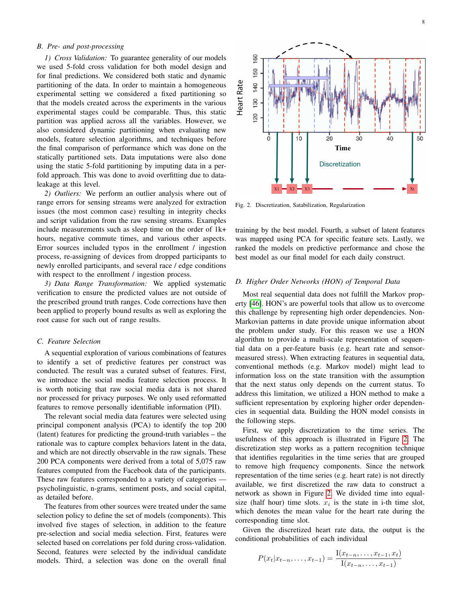# <span id="page-7-2"></span>*B. Pre- and post-processing*

*1) Cross Validation:* To guarantee generality of our models we used 5-fold cross validation for both model design and for final predictions. We considered both static and dynamic partitioning of the data. In order to maintain a homogeneous experimental setting we considered a fixed partitioning so that the models created across the experiments in the various experimental stages could be comparable. Thus, this static partition was applied across all the variables. However, we also considered dynamic partitioning when evaluating new models, feature selection algorithms, and techniques before the final comparison of performance which was done on the statically partitioned sets. Data imputations were also done using the static 5-fold partitioning by imputing data in a perfold approach. This was done to avoid overfitting due to dataleakage at this level.

*2) Outliers:* We perform an outlier analysis where out of range errors for sensing streams were analyzed for extraction issues (the most common case) resulting in integrity checks and script validation from the raw sensing streams. Examples include measurements such as sleep time on the order of 1k+ hours, negative commute times, and various other aspects. Error sources included typos in the enrollment / ingestion process, re-assigning of devices from dropped participants to newly enrolled participants, and several race / edge conditions with respect to the enrollment / ingestion process.

*3) Data Range Transformation:* We applied systematic verification to ensure the predicted values are not outside of the prescribed ground truth ranges. Code corrections have then been applied to properly bound results as well as exploring the root cause for such out of range results.

# <span id="page-7-0"></span>*C. Feature Selection*

A sequential exploration of various combinations of features to identify a set of predictive features per construct was conducted. The result was a curated subset of features. First, we introduce the social media feature selection process. It is worth noticing that raw social media data is not shared nor processed for privacy purposes. We only used reformatted features to remove personally identifiable information (PII).

The relevant social media data features were selected using principal component analysis (PCA) to identify the top 200 (latent) features for predicting the ground-truth variables – the rationale was to capture complex behaviors latent in the data, and which are not directly observable in the raw signals. These 200 PCA components were derived from a total of 5,075 raw features computed from the Facebook data of the participants. These raw features corresponded to a variety of categories psycholinguistic, n-grams, sentiment posts, and social capital, as detailed before.

The features from other sources were treated under the same selection policy to define the set of models (components). This involved five stages of selection, in addition to the feature pre-selection and social media selection. First, features were selected based on correlations per fold during cross-validation. Second, features were selected by the individual candidate models. Third, a selection was done on the overall final



<span id="page-7-1"></span>Fig. 2. Discretization, Satabilization, Regularization

training by the best model. Fourth, a subset of latent features was mapped using PCA for specific feature sets. Lastly, we ranked the models on predictive performance and chose the best model as our final model for each daily construct.

# *D. Higher Order Networks (HON) of Temporal Data*

Most real sequential data does not fulfill the Markov property [\[46\]](#page-12-21). HON's are powerful tools that allow us to overcome this challenge by representing high order dependencies. Non-Markovian patterns in date provide unique information about the problem under study. For this reason we use a HON algorithm to provide a multi-scale representation of sequential data on a per-feature basis (e.g. heart rate and sensormeasured stress). When extracting features in sequential data, conventional methods (e.g. Markov model) might lead to information loss on the state transition with the assumption that the next status only depends on the current status. To address this limitation, we utilized a HON method to make a sufficient representation by exploring higher order dependencies in sequential data. Building the HON model consists in the following steps.

First, we apply discretization to the time series. The usefulness of this approach is illustrated in Figure [2.](#page-7-1) The discretization step works as a pattern recognition technique that identifies regularities in the time series that are grouped to remove high frequency components. Since the network representation of the time series (e.g. heart rate) is not directly available, we first discretized the raw data to construct a network as shown in Figure [2.](#page-7-1) We divided time into equalsize (half hour) time slots.  $x_i$  is the state in i-th time slot, which denotes the mean value for the heart rate during the corresponding time slot.

Given the discretized heart rate data, the output is the conditional probabilities of each individual

$$
P(x_t|x_{t-n},\ldots,x_{t-1}) = \frac{I(x_{t-n},\ldots,x_{t-1},x_t)}{I(x_{t-n},\ldots,x_{t-1})}
$$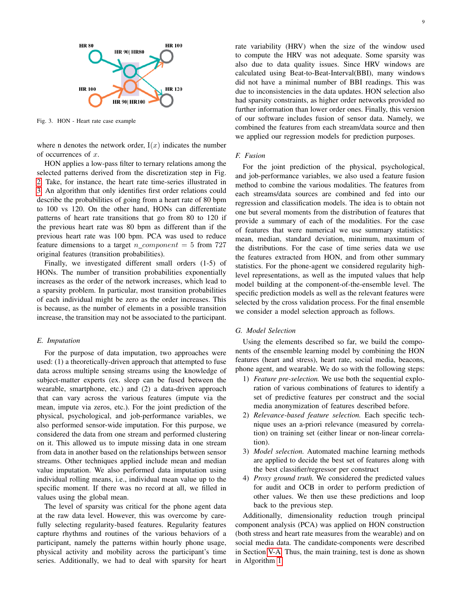

<span id="page-8-0"></span>Fig. 3. HON - Heart rate case example

where n denotes the network order,  $I(x)$  indicates the number of occurrences of x.

HON applies a low-pass filter to ternary relations among the selected patterns derived from the discretization step in Fig. [2.](#page-7-1) Take, for instance, the heart rate time-series illustrated in [3.](#page-8-0) An algorithm that only identifies first order relations could describe the probabilities of going from a heart rate of 80 bpm to 100 vs 120. On the other hand, HONs can differentiate patterns of heart rate transitions that go from 80 to 120 if the previous heart rate was 80 bpm as different than if the previous heart rate was 100 bpm. PCA was used to reduce feature dimensions to a target n component = 5 from  $727$ original features (transition probabilities).

Finally, we investigated different small orders (1-5) of HONs. The number of transition probabilities exponentially increases as the order of the network increases, which lead to a sparsity problem. In particular, most transition probabilities of each individual might be zero as the order increases. This is because, as the number of elements in a possible transition increase, the transition may not be associated to the participant.

# *E. Imputation*

For the purpose of data imputation, two approaches were used: (1) a theoretically-driven approach that attempted to fuse data across multiple sensing streams using the knowledge of subject-matter experts (ex. sleep can be fused between the wearable, smartphone, etc.) and (2) a data-driven approach that can vary across the various features (impute via the mean, impute via zeros, etc.). For the joint prediction of the physical, psychological, and job-performance variables, we also performed sensor-wide imputation. For this purpose, we considered the data from one stream and performed clustering on it. This allowed us to impute missing data in one stream from data in another based on the relationships between sensor streams. Other techniques applied include mean and median value imputation. We also performed data imputation using individual rolling means, i.e., individual mean value up to the specific moment. If there was no record at all, we filled in values using the global mean.

The level of sparsity was critical for the phone agent data at the raw data level. However, this was overcome by carefully selecting regularity-based features. Regularity features capture rhythms and routines of the various behaviors of a participant, namely the patterns within hourly phone usage, physical activity and mobility across the participant's time series. Additionally, we had to deal with sparsity for heart rate variability (HRV) when the size of the window used to compute the HRV was not adequate. Some sparsity was also due to data quality issues. Since HRV windows are calculated using Beat-to-Beat-Interval(BBI), many windows did not have a minimal number of BBI readings. This was due to inconsistencies in the data updates. HON selection also had sparsity constraints, as higher order networks provided no further information than lower order ones. Finally, this version of our software includes fusion of sensor data. Namely, we combined the features from each stream/data source and then we applied our regression models for prediction purposes.

# *F. Fusion*

For the joint prediction of the physical, psychological, and job-performance variables, we also used a feature fusion method to combine the various modalities. The features from each streams/data sources are combined and fed into our regression and classification models. The idea is to obtain not one but several moments from the distribution of features that provide a summary of each of the modalities. For the case of features that were numerical we use summary statistics: mean, median, standard deviation, minimum, maximum of the distributions. For the case of time series data we use the features extracted from HON, and from other summary statistics. For the phone-agent we considered regularity highlevel representations, as well as the imputed values that help model building at the component-of-the-ensemble level. The specific prediction models as well as the relevant features were selected by the cross validation process. For the final ensemble we consider a model selection approach as follows.

#### *G. Model Selection*

Using the elements described so far, we build the components of the ensemble learning model by combining the HON features (heart and stress), heart rate, social media, beacons, phone agent, and wearable. We do so with the following steps:

- 1) *Feature pre-selection.* We use both the sequential exploration of various combinations of features to identify a set of predictive features per construct and the social media anonymization of features described before.
- 2) *Relevance-based feature selection.* Each specific technique uses an a-priori relevance (measured by correlation) on training set (either linear or non-linear correlation).
- 3) *Model selection.* Automated machine learning methods are applied to decide the best set of features along with the best classifier/regressor per construct
- 4) *Proxy ground truth.* We considered the predicted values for audit and OCB in order to perform prediction of other values. We then use these predictions and loop back to the previous step.

Additionally, dimensionality reduction trough principal component analysis (PCA) was applied on HON construction (both stress and heart rate measures from the wearable) and on social media data. The candidate-components were described in Section [V-A.](#page-6-2) Thus, the main training, test is done as shown in Algorithm [1.](#page-9-0)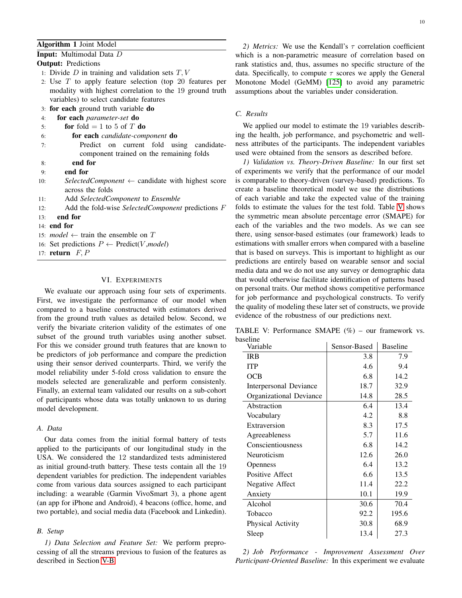# <span id="page-9-0"></span>Algorithm 1 Joint Model

# Input: Multimodal Data D

**Output: Predictions** 

- 1: Divide  $D$  in training and validation sets  $T, V$
- 2: Use T to apply feature selection (top 20 features per modality with highest correlation to the 19 ground truth variables) to select candidate features
- 3: for each ground truth variable do
- 4: for each *parameter-set* do
- 5: **for** fold  $= 1$  to 5 of T **do**
- 6: for each *candidate-component* do
- 7: Predict on current fold using candidatecomponent trained on the remaining folds
- 8: end for
- 9: end for
- 10: *SelectedComponent* ← candidate with highest score across the folds
- 11: Add *SelectedComponent* to *Ensemble*
- 12: Add the fold-wise *SelectedComponent* predictions F
- 13: end for
- 14: end for
- 15: *model*  $\leftarrow$  train the ensemble on T
- 16: Set predictions  $P \leftarrow \text{Predict}(V, \text{model})$
- 17: return  $F, P$

#### VI. EXPERIMENTS

We evaluate our approach using four sets of experiments. First, we investigate the performance of our model when compared to a baseline constructed with estimators derived from the ground truth values as detailed below. Second, we verify the bivariate criterion validity of the estimates of one subset of the ground truth variables using another subset. For this we consider ground truth features that are known to be predictors of job performance and compare the prediction using their sensor derived counterparts. Third, we verify the model reliability under 5-fold cross validation to ensure the models selected are generalizable and perform consistenly. Finally, an external team validated our results on a sub-cohort of participants whose data was totally unknown to us during model development.

# *A. Data*

Our data comes from the initial formal battery of tests applied to the participants of our longitudinal study in the USA. We considered the 12 standardized tests administered as initial ground-truth battery. These tests contain all the 19 dependent variables for prediction. The independent variables come from various data sources assigned to each participant including: a wearable (Garmin VivoSmart 3), a phone agent (an app for iPhone and Android), 4 beacons (office, home, and two portable), and social media data (Facebook and Linkedin).

#### *B. Setup*

*1) Data Selection and Feature Set:* We perform preprocessing of all the streams previous to fusion of the features as described in Section [V-B.](#page-7-2)

*2) Metrics:* We use the Kendall's  $\tau$  correlation coefficient which is a non-parametric measure of correlation based on rank statistics and, thus, assumes no specific structure of the data. Specifically, to compute  $\tau$  scores we apply the General Monotone Model (GeMM) [\[125\]](#page-14-23) to avoid any parametric assumptions about the variables under consideration.

## *C. Results*

We applied our model to estimate the 19 variables describing the health, job performance, and psychometric and wellness attributes of the participants. The independent variables used were obtained from the sensors as described before.

*1) Validation vs. Theory-Driven Baseline:* In our first set of experiments we verify that the performance of our model is comparable to theory-driven (survey-based) predictions. To create a baseline theoretical model we use the distributions of each variable and take the expected value of the training folds to estimate the values for the test fold. Table [V](#page-9-1) shows the symmetric mean absolute percentage error (SMAPE) for each of the variables and the two models. As we can see there, using sensor-based estimates (our framework) leads to estimations with smaller errors when compared with a baseline that is based on surveys. This is important to highlight as our predictions are entirely based on wearable sensor and social media data and we do not use any survey or demographic data that would otherwise facilitate identification of patterns based on personal traits. Our method shows competitive performance for job performance and psychological constructs. To verify the quality of modeling these later set of constructs, we provide evidence of the robustness of our predictions next.

<span id="page-9-1"></span>TABLE V: Performance SMAPE (%) – our framework vs. baseline

| Variable                | Sensor-Based | <b>Baseline</b> |
|-------------------------|--------------|-----------------|
| <b>IRB</b>              | 3.8          | 7.9             |
| <b>ITP</b>              | 4.6          | 9.4             |
| OCB                     | 6.8          | 14.2            |
| Interpersonal Deviance  | 18.7         | 32.9            |
| Organizational Deviance | 14.8         | 28.5            |
| Abstraction             | 6.4          | 13.4            |
| Vocabulary              | 4.2          | 8.8             |
| Extraversion            | 8.3          | 17.5            |
| Agreeableness           | 5.7          | 11.6            |
| Conscientiousness       | 6.8          | 14.2            |
| Neuroticism             | 12.6         | 26.0            |
| Openness                | 6.4          | 13.2            |
| Positive Affect         | 6.6          | 13.5            |
| Negative Affect         | 11.4         | 22.2            |
| Anxiety                 | 10.1         | 19.9            |
| Alcohol                 | 30.6         | 70.4            |
| Tobacco                 | 92.2         | 195.6           |
| Physical Activity       | 30.8         | 68.9            |
| Sleep                   | 13.4         | 27.3            |

*2) Job Performance - Improvement Assessment Over Participant-Oriented Baseline:* In this experiment we evaluate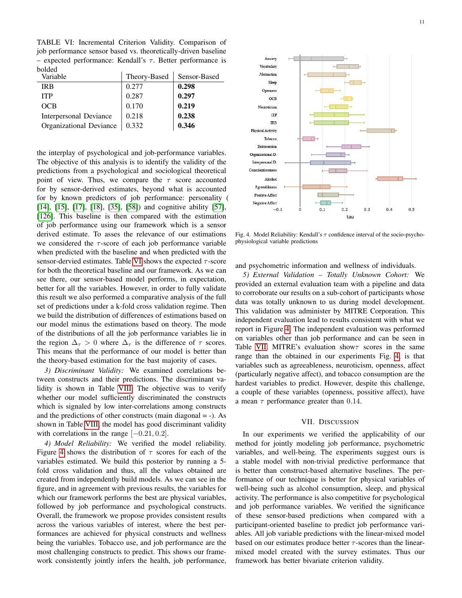<span id="page-10-0"></span>TABLE VI: Incremental Criterion Validity. Comparison of job performance sensor based vs. theoretically-driven baseline – expected performance: Kendall's  $\tau$ . Better performance is bolded

| Variable                | Theory-Based | Sensor-Based |
|-------------------------|--------------|--------------|
| <b>IRB</b>              | 0.277        | 0.298        |
| <b>ITP</b>              | 0.287        | 0.297        |
| <b>OCB</b>              | 0.170        | 0.219        |
| Interpersonal Deviance  | 0.218        | 0.238        |
| Organizational Deviance | 0.332        | 0.346        |

the interplay of psychological and job-performance variables. The objective of this analysis is to identify the validity of the predictions from a psychological and sociological theoretical point of view. Thus, we compare the  $\tau$  score accounted for by sensor-derived estimates, beyond what is accounted for by known predictors of job performance: personality ( [\[14\]](#page-12-35), [\[15\]](#page-12-36), [\[17\]](#page-12-37), [\[18\]](#page-12-5), [\[35\]](#page-12-26), [\[58\]](#page-13-0)) and cognitive ability [\[57\]](#page-12-33), [\[126\]](#page-14-24). This baseline is then compared with the estimation of job performance using our framework which is a sensor derived estimate. To asses the relevance of our estimations we considered the  $\tau$ -score of each job performance variable when predicted with the baseline and when predicted with the sensor-dervied estimates. Table [VI](#page-10-0) shows the expected  $\tau$ -score for both the theoretical baseline and our framework. As we can see there, our sensor-based model performs, in expectation, better for all the variables. However, in order to fully validate this result we also performed a comparative analysis of the full set of predictions under a k-fold cross validation regime. Then we build the distribution of differences of estimations based on our model minus the estimations based on theory. The mode of the distributions of all the job performance variables lie in the region  $\Delta_{\tau} > 0$  where  $\Delta_{\tau}$  is the difference of  $\tau$  scores. This means that the performance of our model is better than the theory-based estimation for the bast majority of cases.

*3) Discriminant Validity:* We examined correlations between constructs and their predictions. The discriminant validity is shown in Table [VIII.](#page-15-0) The objective was to verify whether our model sufficiently discriminated the constructs which is signaled by low inter-correlations among constructs and the predictions of other constructs (main diagonal = -). As shown in Table [VIII,](#page-15-0) the model has good discriminant validity with correlations in the range  $[-0.21, 0.2]$ .

*4) Model Reliability:* We verified the model reliability. Figure [4](#page-10-1) shows the distribution of  $\tau$  scores for each of the variables estimated. We build this posterior by running a 5 fold cross validation and thus, all the values obtained are created from independently build models. As we can see in the figure, and in agreement with previous results, the variables for which our framework performs the best are physical variables, followed by job performance and psychological constructs. Overall, the framework we propose provides consistent results across the various variables of interest, where the best performances are achieved for physical constructs and wellness being the variables. Tobacco use, and job performance are the most challenging constructs to predict. This shows our framework consistently jointly infers the health, job performance,



<span id="page-10-1"></span>Fig. 4. Model Reliability: Kendall's  $\tau$  confidence interval of the socio-psychophysiological variable predictions

and psychometric information and wellness of individuals.

*5) External Validation – Totally Unknown Cohort:* We provided an external evaluation team with a pipeline and data to corroborate our results on a sub-cohort of participants whose data was totally unknown to us during model development. This validation was administer by MITRE Corporation. This independent evaluation lead to results consistent with what we report in Figure [4.](#page-10-1) The independent evaluation was performed on variables other than job performance and can be seen in Table [VII.](#page-11-3) MITRE's evaluation show  $\tau$  scores in the same range than the obtained in our experiments Fig. [4,](#page-10-1) is that variables such as agreeableness, neuroticism, openness, affect (particularly negative affect), and tobacco consumption are the hardest variables to predict. However, despite this challenge, a couple of these variables (openness, possitive affect), have a mean  $\tau$  performance greater than 0.14.

#### VII. DISCUSSION

In our experiments we verified the applicability of our method for jointly modeling job performance, psychometric variables, and well-being. The experiments suggest ours is a stable model with non-trivial predictive performance that is better than construct-based alternative baselines. The performance of our technique is better for physical variables of well-being such as alcohol consumption, sleep, and physical activity. The performance is also competitive for psychological and job performance variables. We verified the significance of these sensor-based predictions when compared with a participant-oriented baseline to predict job performance variables. All job variable predictions with the linear-mixed model based on our estimates produce better  $\tau$ -scores than the linearmixed model created with the survey estimates. Thus our framework has better bivariate criterion validity.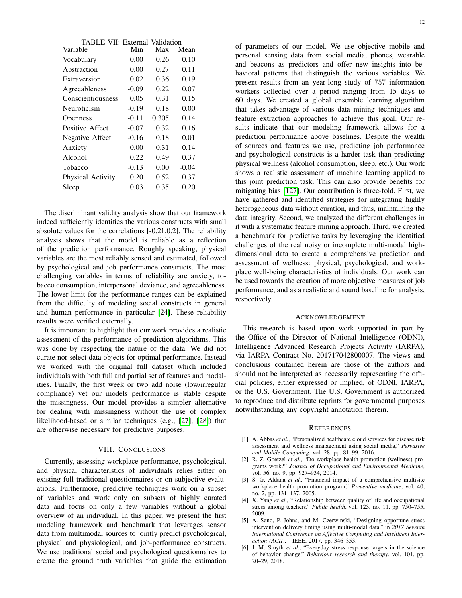<span id="page-11-3"></span>

| <b>TABLE VII: External Validation</b> |         |       |         |  |  |  |  |  |  |
|---------------------------------------|---------|-------|---------|--|--|--|--|--|--|
| Variable                              | Min     | Max   | Mean    |  |  |  |  |  |  |
| Vocabulary                            | 0.00    | 0.26  | 0.10    |  |  |  |  |  |  |
| Abstraction                           | 0.00    | 0.27  | 0.11    |  |  |  |  |  |  |
| Extraversion                          | 0.02    | 0.36  | 0.19    |  |  |  |  |  |  |
| Agreeableness                         | $-0.09$ | 0.22  | 0.07    |  |  |  |  |  |  |
| Conscientiousness                     | 0.05    | 0.31  | 0.15    |  |  |  |  |  |  |
| Neuroticism                           | $-0.19$ | 0.18  | 0.00    |  |  |  |  |  |  |
| Openness                              | $-0.11$ | 0.305 | 0.14    |  |  |  |  |  |  |
| Positive Affect                       | $-0.07$ | 0.32  | 0.16    |  |  |  |  |  |  |
| Negative Affect                       | $-0.16$ | 0.18  | 0.01    |  |  |  |  |  |  |
| Anxiety                               | 0.00    | 0.31  | 0.14    |  |  |  |  |  |  |
| Alcohol                               | 0.22    | 0.49  | 0.37    |  |  |  |  |  |  |
| Tobacco                               | $-0.13$ | 0.00  | $-0.04$ |  |  |  |  |  |  |
| Physical Activity                     | 0.20    | 0.52  | 0.37    |  |  |  |  |  |  |
| Sleep                                 | 0.03    | 0.35  | 0.20    |  |  |  |  |  |  |

The discriminant validity analysis show that our framework indeed sufficiently identifies the various constructs with small absolute values for the correlations [-0.21,0.2]. The reliability analysis shows that the model is reliable as a reflection of the prediction performance. Roughly speaking, physical variables are the most reliably sensed and estimated, followed by psychological and job performance constructs. The most challenging variables in terms of reliability are anxiety, tobacco consumption, interpersonal deviance, and agreeableness. The lower limit for the performance ranges can be explained from the difficulty of modeling social constructs in general and human performance in particular [\[24\]](#page-12-10). These reliability results were verified externally.

It is important to highlight that our work provides a realistic assessment of the performance of prediction algorithms. This was done by respecting the nature of the data. We did not curate nor select data objects for optimal performance. Instead we worked with the original full dataset which included individuals with both full and partial set of features and modalities. Finally, the first week or two add noise (low/irregular compliance) yet our models performance is stable despite the missingness. Our model provides a simpler alternative for dealing with missingness without the use of complex likelihood-based or similar techniques (e.g., [\[27\]](#page-12-13), [\[28\]](#page-12-14)) that are otherwise necessary for predictive purposes.

#### VIII. CONCLUSIONS

Currently, assessing workplace performance, psychological, and physical characteristics of individuals relies either on existing full traditional questionnaires or on subjective evaluations. Furthermore, predictive techniques work on a subset of variables and work only on subsets of highly curated data and focus on only a few variables without a global overview of an individual. In this paper, we present the first modeling framework and benchmark that leverages sensor data from multimodal sources to jointly predict psychological, physical and physiological, and job-performance constructs. We use traditional social and psychological questionnaires to create the ground truth variables that guide the estimation of parameters of our model. We use objective mobile and personal sensing data from social media, phones, wearable and beacons as predictors and offer new insights into behavioral patterns that distinguish the various variables. We present results from an year-long study of 757 information workers collected over a period ranging from 15 days to 60 days. We created a global ensemble learning algorithm that takes advantage of various data mining techniques and feature extraction approaches to achieve this goal. Our results indicate that our modeling framework allows for a prediction performance above baselines. Despite the wealth of sources and features we use, predicting job performance and psychological constructs is a harder task than predicting physical wellness (alcohol consumption, sleep, etc.). Our work shows a realistic assessment of machine learning applied to this joint prediction task. This can also provide benefits for mitigating bias [\[127\]](#page-14-25). Our contribution is three-fold. First, we have gathered and identified strategies for integrating highly heterogeneous data without curation, and thus, maintaining the data integrity. Second, we analyzed the different challenges in it with a systematic feature mining approach. Third, we created a benchmark for predictive tasks by leveraging the identified challenges of the real noisy or incomplete multi-modal highdimensional data to create a comprehensive prediction and assessment of wellness: physical, psychological, and workplace well-being characteristics of individuals. Our work can be used towards the creation of more objective measures of job performance, and as a realistic and sound baseline for analysis, respectively.

#### ACKNOWLEDGEMENT

This research is based upon work supported in part by the Office of the Director of National Intelligence (ODNI), Intelligence Advanced Research Projects Activity (IARPA), via IARPA Contract No. 201717042800007. The views and conclusions contained herein are those of the authors and should not be interpreted as necessarily representing the official policies, either expressed or implied, of ODNI, IARPA, or the U.S. Government. The U.S. Government is authorized to reproduce and distribute reprints for governmental purposes notwithstanding any copyright annotation therein.

#### **REFERENCES**

- <span id="page-11-0"></span>[1] A. Abbas *et al.*, "Personalized healthcare cloud services for disease risk assessment and wellness management using social media," *Pervasive and Mobile Computing*, vol. 28, pp. 81–99, 2016.
- [2] R. Z. Goetzel *et al.*, "Do workplace health promotion (wellness) programs work?" *Journal of Occupational and Environmental Medicine*, vol. 56, no. 9, pp. 927–934, 2014.
- <span id="page-11-1"></span>[3] S. G. Aldana *et al.*, "Financial impact of a comprehensive multisite workplace health promotion program," *Preventive medicine*, vol. 40, no. 2, pp. 131–137, 2005.
- <span id="page-11-2"></span>[4] X. Yang *et al.*, "Relationship between quality of life and occupational stress among teachers," *Public health*, vol. 123, no. 11, pp. 750–755, 2009.
- [5] A. Sano, P. Johns, and M. Czerwinski, "Designing opportune stress intervention delivery timing using multi-modal data," in *2017 Seventh International Conference on Affective Computing and Intelligent Interaction (ACII)*. IEEE, 2017, pp. 346–353.
- [6] J. M. Smyth *et al.*, "Everyday stress response targets in the science of behavior change," *Behaviour research and therapy*, vol. 101, pp. 20–29, 2018.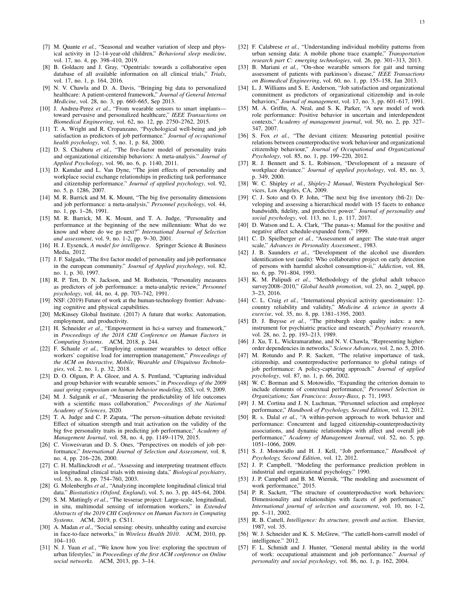- <span id="page-12-0"></span>[7] M. Quante et al., "Seasonal and weather variation of sleep and physical activity in 12–14-year-old children," *Behavioral sleep medicine*, vol. 17, no. 4, pp. 398–410, 2019.
- <span id="page-12-1"></span>[8] B. Goldacre and J. Gray, "Opentrials: towards a collaborative open database of all available information on all clinical trials," *Trials*, vol. 17, no. 1, p. 164, 2016.
- <span id="page-12-2"></span>[9] N. V. Chawla and D. A. Davis, "Bringing big data to personalized healthcare: A patient-centered framework," *Journal of General Internal Medicine*, vol. 28, no. 3, pp. 660–665, Sep 2013.
- <span id="page-12-3"></span>[10] J. Andreu-Perez et al., "From wearable sensors to smart implantstoward pervasive and personalized healthcare," *IEEE Transactions on Biomedical Engineering*, vol. 62, no. 12, pp. 2750–2762, 2015.
- <span id="page-12-4"></span>[11] T. A. Wright and R. Cropanzano, "Psychological well-being and job satisfaction as predictors of job performance." *Journal of occupational health psychology*, vol. 5, no. 1, p. 84, 2000.
- <span id="page-12-43"></span>[12] D. S. Chiaburu *et al.*, "The five-factor model of personality traits and organizational citizenship behaviors: A meta-analysis." *Journal of Applied Psychology*, vol. 96, no. 6, p. 1140, 2011.
- <span id="page-12-46"></span>[13] D. Kamdar and L. Van Dyne, "The joint effects of personality and workplace social exchange relationships in predicting task performance and citizenship performance." *Journal of applied psychology*, vol. 92, no. 5, p. 1286, 2007.
- <span id="page-12-35"></span>[14] M. R. Barrick and M. K. Mount, "The big five personality dimensions and job performance: a meta-analysis," *Personnel psychology*, vol. 44, no. 1, pp. 1–26, 1991.
- <span id="page-12-36"></span>[15] M. R. Barrick, M. K. Mount, and T. A. Judge, "Personality and performance at the beginning of the new millennium: What do we know and where do we go next?" *International Journal of Selection and assessment*, vol. 9, no. 1-2, pp. 9–30, 2001.
- <span id="page-12-45"></span>[16] H. J. Eysenck, *A model for intelligence*. Springer Science & Business Media, 2012.
- <span id="page-12-37"></span>[17] J. F. Salgado, "The five factor model of personality and job performance in the european community." *Journal of Applied psychology*, vol. 82, no. 1, p. 30, 1997.
- <span id="page-12-5"></span>[18] R. P. Tett, D. N. Jackson, and M. Rothstein, "Personality measures as predictors of job performance: a meta-analytic review," *Personnel psychology*, vol. 44, no. 4, pp. 703–742, 1991.
- <span id="page-12-6"></span>[19] NSF. (2019) Future of work at the human-technology frontier: Advancing cognitive and physical capabilities.
- [20] McKinsey Global Institute. (2017) A future that works: Automation, employment, and productivity.
- <span id="page-12-7"></span>[21] H. Schneider et al., "Empowerment in hci-a survey and framework," in *Proceedings of the 2018 CHI Conference on Human Factors in Computing Systems*. ACM, 2018, p. 244.
- <span id="page-12-8"></span>[22] F. Schaule *et al.*, "Employing consumer wearables to detect office workers' cognitive load for interruption management," *Proceedings of the ACM on Interactive, Mobile, Wearable and Ubiquitous Technologies*, vol. 2, no. 1, p. 32, 2018.
- <span id="page-12-9"></span>[23] D. O. Olguin, P. A. Gloor, and A. S. Pentland, "Capturing individual and group behavior with wearable sensors," in *Proceedings of the 2009 aaai spring symposium on human behavior modeling, SSS*, vol. 9, 2009.
- <span id="page-12-10"></span>[24] M. J. Salganik *et al.*, "Measuring the predictability of life outcomes with a scientific mass collaboration," *Proceedings of the National Academy of Sciences*, 2020.
- <span id="page-12-11"></span>[25] T. A. Judge and C. P. Zapata, "The person–situation debate revisited: Effect of situation strength and trait activation on the validity of the big five personality traits in predicting job performance," *Academy of Management Journal*, vol. 58, no. 4, pp. 1149–1179, 2015.
- <span id="page-12-12"></span>[26] C. Viswesvaran and D. S. Ones, "Perspectives on models of job performance," *International Journal of Selection and Assessment*, vol. 8, no. 4, pp. 216–226, 2000.
- <span id="page-12-13"></span>[27] C. H. Mallinckrodt et al., "Assessing and interpreting treatment effects in longitudinal clinical trials with missing data," *Biological psychiatry*, vol. 53, no. 8, pp. 754–760, 2003.
- <span id="page-12-14"></span>[28] G. Molenberghs et al., "Analyzing incomplete longitudinal clinical trial data." *Biostatistics (Oxford, England)*, vol. 5, no. 3, pp. 445–64, 2004.
- <span id="page-12-15"></span>[29] S. M. Mattingly *et al.*, "The tesserae project: Large-scale, longitudinal, in situ, multimodal sensing of information workers," in *Extended Abstracts of the 2019 CHI Conference on Human Factors in Computing Systems*. ACM, 2019, p. CS11.
- <span id="page-12-16"></span>[30] A. Madan et al., "Social sensing: obesity, unhealthy eating and exercise in face-to-face networks," in *Wireless Health 2010*. ACM, 2010, pp. 104–110.
- [31] N. J. Yuan et al., "We know how you live: exploring the spectrum of urban lifestyles," in *Proceedings of the first ACM conference on Online social networks*. ACM, 2013, pp. 3–14.
- <span id="page-12-20"></span>[32] F. Calabrese *et al.*, "Understanding individual mobility patterns from urban sensing data: A mobile phone trace example," *Transportation research part C: emerging technologies*, vol. 26, pp. 301–313, 2013.
- <span id="page-12-17"></span>[33] B. Mariani *et al.*, "On-shoe wearable sensors for gait and turning assessment of patients with parkinson's disease," *IEEE Transactions on Biomedical Engineering*, vol. 60, no. 1, pp. 155–158, Jan 2013.
- <span id="page-12-18"></span>[34] L. J. Williams and S. E. Anderson, "Job satisfaction and organizational commitment as predictors of organizational citizenship and in-role behaviors," *Journal of management*, vol. 17, no. 3, pp. 601–617, 1991.
- <span id="page-12-26"></span>[35] M. A. Griffin, A. Neal, and S. K. Parker, "A new model of work role performance: Positive behavior in uncertain and interdependent contexts," *Academy of management journal*, vol. 50, no. 2, pp. 327– 347, 2007.
- <span id="page-12-27"></span>[36] S. Fox *et al.*, "The deviant citizen: Measuring potential positive relations between counterproductive work behaviour and organizational citizenship behaviour," *Journal of Occupational and Organizational Psychology*, vol. 85, no. 1, pp. 199–220, 2012.
- <span id="page-12-29"></span>[37] R. J. Bennett and S. L. Robinson, "Development of a measure of workplace deviance." *Journal of applied psychology*, vol. 85, no. 3, p. 349, 2000.
- <span id="page-12-30"></span>[38] W. C. Shipley *et al.*, *Shipley-2 Manual*, Western Psychological Services, Los Angeles, CA, 2009.
- <span id="page-12-34"></span>[39] C. J. Soto and O. P. John, "The next big five inventory (bfi-2): Developing and assessing a hierarchical model with 15 facets to enhance bandwidth, fidelity, and predictive power." *Journal of personality and social psychology*, vol. 113, no. 1, p. 117, 2017.
- <span id="page-12-38"></span>[40] D. Watson and L. A. Clark, "The panas-x: Manual for the positive and negative affect schedule-expanded form," 1999.
- <span id="page-12-39"></span>[41] C. D. Spielberger *et al.*, "Assessment of anger: The state-trait anger scale," *Advances in Personality Assessment.*, 1983.
- <span id="page-12-40"></span>[42] J. B. Saunders *et al.*, "Development of the alcohol use disorders identification test (audit): Who collaborative project on early detection of persons with harmful alcohol consumption-ii," *Addiction*, vol. 88, no. 6, pp. 791–804, 1993.
- <span id="page-12-41"></span>[43] K. M. Palipudi *et al.*, "Methodology of the global adult tobacco survey2008-2010," *Global health promotion*, vol. 23, no. 2\_suppl, pp. 3–23, 2016.
- <span id="page-12-42"></span>[44] C. L. Craig et al., "International physical activity questionnaire: 12country reliability and validity," *Medicine & science in sports & exercise*, vol. 35, no. 8, pp. 1381–1395, 2003.
- <span id="page-12-19"></span>[45] D. J. Buysse *et al.*, "The pittsburgh sleep quality index: a new instrument for psychiatric practice and research," *Psychiatry research*, vol. 28, no. 2, pp. 193–213, 1989.
- <span id="page-12-21"></span>[46] J. Xu, T. L. Wickramarathne, and N. V. Chawla, "Representing higherorder dependencies in networks," *Science Advances*, vol. 2, no. 5, 2016.
- <span id="page-12-22"></span>[47] M. Rotundo and P. R. Sackett, "The relative importance of task, citizenship, and counterproductive performance to global ratings of job performance: A policy-capturing approach." *Journal of applied psychology*, vol. 87, no. 1, p. 66, 2002.
- [48] W. C. Borman and S. Motowidlo, "Expanding the criterion domain to include elements of contextual performance," *Personnel Selection in Organizations; San Francisco: Jossey-Bass*, p. 71, 1993.
- [49] J. M. Cortina and J. N. Luchman, "Personnel selection and employee performance," *Handbook of Psychology, Second Edition*, vol. 12, 2012.
- <span id="page-12-23"></span>[50] R. s. Dalal *et al.*, "A within-person approach to work behavior and performance: Concurrent and lagged citizenship-counterproductivity associations, and dynamic relationships with affect and overall job performance," *Academy of Management Journal*, vol. 52, no. 5, pp. 1051–1066, 2009.
- <span id="page-12-24"></span>[51] S. J. Motowidlo and H. J. Kell, "Job performance," *Handbook of Psychology, Second Edition*, vol. 12, 2012.
- <span id="page-12-44"></span>[52] J. P. Campbell, "Modeling the performance prediction problem in industrial and organizational psychology." 1990.
- <span id="page-12-25"></span>[53] J. P. Campbell and B. M. Wiernik, "The modeling and assessment of work performance," 2015.
- <span id="page-12-28"></span>[54] P. R. Sackett, "The structure of counterproductive work behaviors: Dimensionality and relationships with facets of job performance," *International journal of selection and assessment*, vol. 10, no. 1-2, pp. 5–11, 2002.
- <span id="page-12-31"></span>[55] R. B. Cattell, *Intelligence: Its structure, growth and action*. Elsevier, 1987, vol. 35.
- <span id="page-12-32"></span>[56] W. J. Schneider and K. S. McGrew, "The cattell-horn-carroll model of intelligence." 2012.
- <span id="page-12-33"></span>[57] F. L. Schmidt and J. Hunter, "General mental ability in the world of work: occupational attainment and job performance." *Journal of personality and social psychology*, vol. 86, no. 1, p. 162, 2004.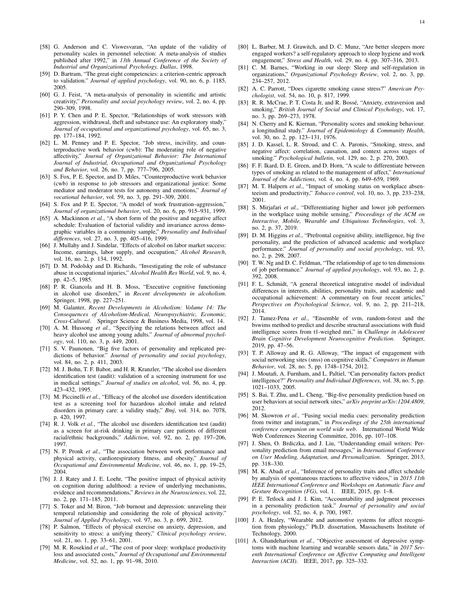- <span id="page-13-0"></span>[58] G. Anderson and C. Viswesvaran, "An update of the validity of personality scales in personnel selection: A meta-analysis of studies published after 1992," in *13th Annual Conference of the Society of Industrial and Organizational Psychology, Dallas*, 1998.
- [59] D. Bartram, "The great eight competencies: a criterion-centric approach to validation." *Journal of applied psychology*, vol. 90, no. 6, p. 1185, 2005.
- <span id="page-13-1"></span>[60] G. J. Feist, "A meta-analysis of personality in scientific and artistic creativity," *Personality and social psychology review*, vol. 2, no. 4, pp. 290–309, 1998.
- <span id="page-13-2"></span>[61] P. Y. Chen and P. E. Spector, "Relationships of work stressors with aggression, withdrawal, theft and substance use: An exploratory study," *Journal of occupational and organizational psychology*, vol. 65, no. 3, pp. 177–184, 1992.
- [62] L. M. Penney and P. E. Spector, "Job stress, incivility, and counterproductive work behavior (cwb): The moderating role of negative affectivity," *Journal of Organizational Behavior: The International Journal of Industrial, Occupational and Organizational Psychology and Behavior*, vol. 26, no. 7, pp. 777–796, 2005.
- [63] S. Fox, P. E. Spector, and D. Miles, "Counterproductive work behavior (cwb) in response to job stressors and organizational justice: Some mediator and moderator tests for autonomy and emotions," *Journal of vocational behavior*, vol. 59, no. 3, pp. 291–309, 2001.
- <span id="page-13-3"></span>[64] S. Fox and P. E. Spector, "A model of work frustration–aggression," *Journal of organizational behavior*, vol. 20, no. 6, pp. 915–931, 1999.
- <span id="page-13-4"></span>[65] A. Mackinnon *et al.*, "A short form of the positive and negative affect schedule: Evaluation of factorial validity and invariance across demographic variables in a community sample," *Personality and Individual differences*, vol. 27, no. 3, pp. 405–416, 1999.
- <span id="page-13-5"></span>[66] J. Mullahy and J. Sindelar, "Effects of alcohol on labor market success: Income, earnings, labor supply, and occupation," *Alcohol Research*, vol. 16, no. 2, p. 134, 1992.
- [67] D. M. Podolsky and D. Richards, "Investigating the role of substance abuse in occupational injuries," *Alcohol Health Res World*, vol. 9, no. 4, pp. 42–5, 1985.
- [68] P. R. Giancola and H. B. Moss, "Executive cognitive functioning in alcohol use disorders," in *Recent developments in alcoholism*. Springer, 1998, pp. 227–251.
- [69] M. Galanter, *Recent Developments in Alcoholism: Volume 14: The Consequences of Alcoholism-Medical, Neuropsychiatric, Economic, Cross-Cultural*. Springer Science & Business Media, 1998, vol. 14.
- [70] A. M. Hussong *et al.*, "Specifying the relations between affect and heavy alcohol use among young adults." *Journal of abnormal psychology*, vol. 110, no. 3, p. 449, 2001.
- <span id="page-13-6"></span>[71] S. V. Paunonen, "Big five factors of personality and replicated predictions of behavior." *Journal of personality and social psychology*, vol. 84, no. 2, p. 411, 2003.
- <span id="page-13-7"></span>[72] M. J. Bohn, T. F. Babor, and H. R. Kranzler, "The alcohol use disorders identification test (audit): validation of a screening instrument for use in medical settings." *Journal of studies on alcohol*, vol. 56, no. 4, pp. 423–432, 1995.
- [73] M. Piccinelli *et al.*, "Efficacy of the alcohol use disorders identification test as a screening tool for hazardous alcohol intake and related disorders in primary care: a validity study," *Bmj*, vol. 314, no. 7078, p. 420, 1997.
- <span id="page-13-8"></span>[74] R. J. Volk *et al.*, "The alcohol use disorders identification test (audit) as a screen for at-risk drinking in primary care patients of different racial/ethnic backgrounds," *Addiction*, vol. 92, no. 2, pp. 197–206, 1997.
- <span id="page-13-9"></span>[75] N. P. Pronk *et al.*, "The association between work performance and physical activity, cardiorespiratory fitness, and obesity," *Journal of Occupational and Environmental Medicine*, vol. 46, no. 1, pp. 19–25, 2004.
- [76] J. J. Ratey and J. E. Loehr, "The positive impact of physical activity on cognition during adulthood: a review of underlying mechanisms, evidence and recommendations," *Reviews in the Neurosciences*, vol. 22, no. 2, pp. 171–185, 2011.
- [77] S. Toker and M. Biron, "Job burnout and depression: unraveling their temporal relationship and considering the role of physical activity." *Journal of Applied Psychology*, vol. 97, no. 3, p. 699, 2012.
- <span id="page-13-10"></span>[78] P. Salmon, "Effects of physical exercise on anxiety, depression, and sensitivity to stress: a unifying theory," *Clinical psychology review*, vol. 21, no. 1, pp. 33–61, 2001.
- <span id="page-13-11"></span>[79] M. R. Rosekind et al., "The cost of poor sleep: workplace productivity loss and associated costs," *Journal of Occupational and Environmental Medicine*, vol. 52, no. 1, pp. 91–98, 2010.
- <span id="page-13-12"></span>[80] L. Barber, M. J. Grawitch, and D. C. Munz, "Are better sleepers more engaged workers? a self-regulatory approach to sleep hygiene and work engagement," *Stress and Health*, vol. 29, no. 4, pp. 307–316, 2013.
- <span id="page-13-13"></span>[81] C. M. Barnes, "Working in our sleep: Sleep and self-regulation in organizations," *Organizational Psychology Review*, vol. 2, no. 3, pp. 234–257, 2012.
- <span id="page-13-14"></span>[82] A. C. Parrott, "Does cigarette smoking cause stress?" *American Psychologist*, vol. 54, no. 10, p. 817, 1999.
- [83] R. R. McCrae, P. T. Costa Jr, and R. Bossé, "Anxiety, extraversion and smoking," *British Journal of Social and Clinical Psychology*, vol. 17, no. 3, pp. 269–273, 1978.
- [84] N. Cherry and K. Kiernan, "Personality scores and smoking behaviour. a longitudinal study." *Journal of Epidemiology & Community Health*, vol. 30, no. 2, pp. 123–131, 1976.
- [85] J. D. Kassel, L. R. Stroud, and C. A. Paronis, "Smoking, stress, and negative affect: correlation, causation, and context across stages of smoking." *Psychological bulletin*, vol. 129, no. 2, p. 270, 2003.
- <span id="page-13-15"></span>[86] F. F. Ikard, D. E. Green, and D. Horn, "A scale to differentiate between types of smoking as related to the management of affect," *International Journal of the Addictions*, vol. 4, no. 4, pp. 649–659, 1969.
- <span id="page-13-16"></span>[87] M. T. Halpern et al., "Impact of smoking status on workplace absenteeism and productivity," *Tobacco control*, vol. 10, no. 3, pp. 233–238, 2001.
- <span id="page-13-20"></span>[88] S. Mirjafari *et al.*, "Differentiating higher and lower job performers in the workplace using mobile sensing," *Proceedings of the ACM on Interactive, Mobile, Wearable and Ubiquitous Technologies*, vol. 3, no. 2, p. 37, 2019.
- <span id="page-13-21"></span>[89] D. M. Higgins *et al.*, "Prefrontal cognitive ability, intelligence, big five personality, and the prediction of advanced academic and workplace performance." *Journal of personality and social psychology*, vol. 93, no. 2, p. 298, 2007.
- <span id="page-13-29"></span>[90] T. W. Ng and D. C. Feldman, "The relationship of age to ten dimensions of job performance." *Journal of applied psychology*, vol. 93, no. 2, p. 392, 2008.
- <span id="page-13-22"></span>[91] F. L. Schmidt, "A general theoretical integrative model of individual differences in interests, abilities, personality traits, and academic and occupational achievement: A commentary on four recent articles," *Perspectives on Psychological Science*, vol. 9, no. 2, pp. 211–218, 2014.
- <span id="page-13-19"></span>[92] J. Tamez-Pena *et al.*, "Ensemble of svm, random-forest and the bswims method to predict and describe structural associations with fluid intelligence scores from t1-weighed mri," in *Challenge in Adolescent Brain Cognitive Development Neurocognitive Prediction*. Springer, 2019, pp. 47–56.
- <span id="page-13-18"></span>[93] T. P. Alloway and R. G. Alloway, "The impact of engagement with social networking sites (snss) on cognitive skills," *Computers in Human Behavior*, vol. 28, no. 5, pp. 1748–1754, 2012.
- <span id="page-13-17"></span>[94] J. Moutafi, A. Furnham, and L. Paltiel, "Can personality factors predict intelligence?" *Personality and Individual Differences*, vol. 38, no. 5, pp. 1021–1033, 2005.
- <span id="page-13-23"></span>[95] S. Bai, T. Zhu, and L. Cheng, "Big-five personality prediction based on user behaviors at social network sites," *arXiv preprint arXiv:1204.4809*, 2012.
- [96] M. Skowron *et al.*, "Fusing social media cues: personality prediction from twitter and instagram," in *Proceedings of the 25th international conference companion on world wide web*. International World Wide Web Conferences Steering Committee, 2016, pp. 107–108.
- <span id="page-13-28"></span>[97] J. Shen, O. Brdiczka, and J. Liu, "Understanding email writers: Personality prediction from email messages," in *International Conference on User Modeling, Adaptation, and Personalization*. Springer, 2013, pp. 318–330.
- <span id="page-13-24"></span>[98] M. K. Abadi *et al.*, "Inference of personality traits and affect schedule by analysis of spontaneous reactions to affective videos," in *2015 11th IEEE International Conference and Workshops on Automatic Face and Gesture Recognition (FG)*, vol. 1. IEEE, 2015, pp. 1–8.
- <span id="page-13-25"></span>[99] P. E. Tetlock and J. I. Kim, "Accountability and judgment processes in a personality prediction task." *Journal of personality and social psychology*, vol. 52, no. 4, p. 700, 1987.
- <span id="page-13-26"></span>[100] J. A. Healey, "Wearable and automotive systems for affect recognition from physiology," Ph.D. dissertation, Massachusetts Institute of Technology, 2000.
- <span id="page-13-27"></span>[101] A. Ghandeharioun et al., "Objective assessment of depressive symptoms with machine learning and wearable sensors data," in *2017 Seventh International Conference on Affective Computing and Intelligent Interaction (ACII)*. IEEE, 2017, pp. 325–332.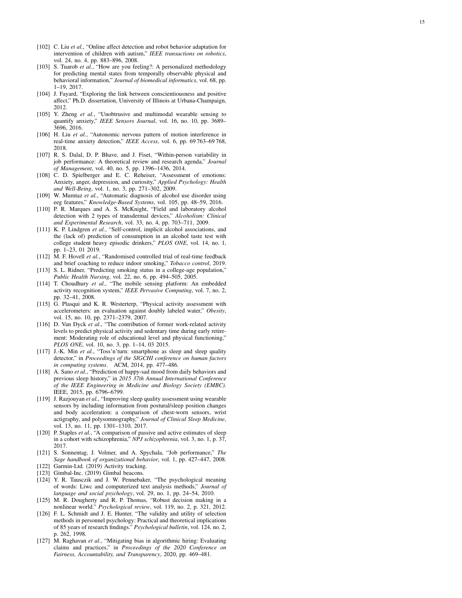- <span id="page-14-16"></span>[102] C. Liu et al., "Online affect detection and robot behavior adaptation for intervention of children with autism," *IEEE transactions on robotics* , vol. 24, no. 4, pp. 883–896, 2008.
- <span id="page-14-0"></span>[103] S. Tuarob et al., "How are you feeling?: A personalized methodology for predicting mental states from temporally observable physical and behavioral information," *Journal of biomedical informatics*, vol. 68, pp. 1–19, 2017.
- <span id="page-14-1"></span>[104] J. Fayard, "Exploring the link between conscientiousness and positive affect," Ph.D. dissertation, University of Illinois at Urbana-Champaign, 2012.
- <span id="page-14-2"></span>[105] Y. Zheng *et al.*, "Unobtrusive and multimodal wearable sensing to quantify anxiety," *IEEE Sensors Journal*, vol. 16, no. 10, pp. 3689– 3696, 2016.
- <span id="page-14-3"></span>[106] H. Liu et al., "Autonomic nervous pattern of motion interference in real-time anxiety detection," *IEEE Access*, vol. 6, pp. 69 763–69 768, 2018.
- <span id="page-14-4"></span>[107] R. S. Dalal, D. P. Bhave, and J. Fiset, "Within-person variability in job performance: A theoretical review and research agenda," *Journal of Management*, vol. 40, no. 5, pp. 1396–1436, 2014.
- <span id="page-14-5"></span>[108] C. D. Spielberger and E. C. Reheiser, "Assessment of emotions: Anxiety, anger, depression, and curiosity," *Applied Psychology: Health and Well-Being*, vol. 1, no. 3, pp. 271–302, 2009.
- <span id="page-14-6"></span>[109] W. Mumtaz *et al.*, "Automatic diagnosis of alcohol use disorder using eeg features," *Knowledge-Based Systems*, vol. 105, pp. 48–59, 2016.
- <span id="page-14-7"></span>[110] P. R. Marques and A. S. McKnight, "Field and laboratory alcohol detection with 2 types of transdermal devices," *Alcoholism: Clinical and Experimental Research*, vol. 33, no. 4, pp. 703–711, 2009.
- <span id="page-14-8"></span>[111] K. P. Lindgren *et al.*, "Self-control, implicit alcohol associations, and the (lack of) prediction of consumption in an alcohol taste test with college student heavy episodic drinkers," *PLOS ONE*, vol. 14, no. 1, pp. 1–23, 01 2019.
- <span id="page-14-9"></span>[112] M. F. Hovell et al., "Randomised controlled trial of real-time feedback and brief coaching to reduce indoor smoking," *Tobacco control*, 2019.
- <span id="page-14-10"></span>[113] S. L. Ridner, "Predicting smoking status in a college-age population," *Public Health Nursing*, vol. 22, no. 6, pp. 494–505, 2005.
- <span id="page-14-11"></span>[114] T. Choudhury *et al.*, "The mobile sensing platform: An embedded activity recognition system," *IEEE Pervasive Computing*, vol. 7, no. 2, pp. 32–41, 2008.
- <span id="page-14-12"></span>[115] G. Plasqui and K. R. Westerterp, "Physical activity assessment with accelerometers: an evaluation against doubly labeled water," *Obesity* , vol. 15, no. 10, pp. 2371–2379, 2007.
- <span id="page-14-13"></span>[116] D. Van Dyck et al., "The contribution of former work-related activity levels to predict physical activity and sedentary time during early retirement: Moderating role of educational level and physical functioning," *PLOS ONE*, vol. 10, no. 3, pp. 1–14, 03 2015.
- <span id="page-14-14"></span>[117] J.-K. Min *et al.*, "Toss'n'turn: smartphone as sleep and sleep quality detector," in *Proceedings of the SIGCHI conference on human factors in computing systems*. ACM, 2014, pp. 477–486.
- <span id="page-14-17"></span>[118] A. Sano *et al.*, "Prediction of happy-sad mood from daily behaviors and previous sleep history," in *2015 37th Annual International Conference of the IEEE Engineering in Medicine and Biology Society (EMBC)* . IEEE, 2015, pp. 6796–6799.
- <span id="page-14-18"></span>[119] J. Razjouyan *et al.*, "Improving sleep quality assessment using wearable sensors by including information from postural/sleep position changes and body acceleration: a comparison of chest-worn sensors, wrist actigraphy, and polysomnography," *Journal of Clinical Sleep Medicine* , vol. 13, no. 11, pp. 1301–1310, 2017.
- <span id="page-14-15"></span>[120] P. Staples *et al.*, "A comparison of passive and active estimates of sleep in a cohort with schizophrenia," *NPJ schizophrenia*, vol. 3, no. 1, p. 37, 2017.
- <span id="page-14-19"></span>[121] S. Sonnentag, J. Volmer, and A. Spychala, "Job performance," *The Sage handbook of organizational behavior*, vol. 1, pp. 427–447, 2008.
- <span id="page-14-20"></span>[122] Garmin-Ltd. (2019) Activity tracking.
- <span id="page-14-21"></span>[123] Gimbal-Inc. (2019) Gimbal beacons.
- <span id="page-14-22"></span>[124] Y. R. Tausczik and J. W. Pennebaker, "The psychological meaning of words: Liwc and computerized text analysis methods," *Journal of language and social psychology*, vol. 29, no. 1, pp. 24–54, 2010.
- <span id="page-14-23"></span>[125] M. R. Dougherty and R. P. Thomas, "Robust decision making in a nonlinear world." *Psychological review*, vol. 119, no. 2, p. 321, 2012.
- <span id="page-14-24"></span>[126] F. L. Schmidt and J. E. Hunter, "The validity and utility of selection methods in personnel psychology: Practical and theoretical implications of 85 years of research findings." *Psychological bulletin*, vol. 124, no. 2, p. 262, 1998.
- <span id="page-14-25"></span>[127] M. Raghavan *et al.*, "Mitigating bias in algorithmic hiring: Evaluating claims and practices," in *Proceedings of the 2020 Conference on Fairness, Accountability, and Transparency*, 2020, pp. 469–481.